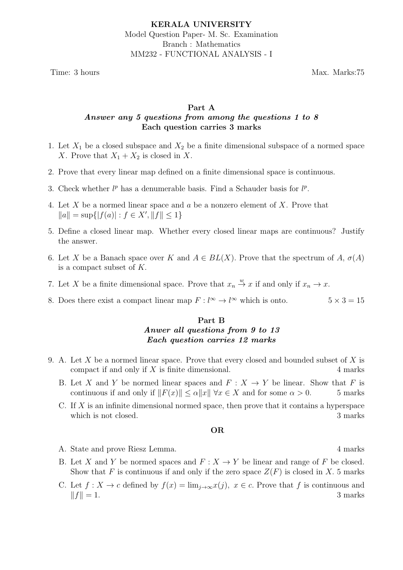Time: 3 hours Max. Marks:75

## Part A Answer any 5 questions from among the questions 1 to 8 Each question carries 3 marks

- 1. Let  $X_1$  be a closed subspace and  $X_2$  be a finite dimensional subspace of a normed space X. Prove that  $X_1 + X_2$  is closed in X.
- 2. Prove that every linear map defined on a finite dimensional space is continuous.
- 3. Check whether  $l^p$  has a denumerable basis. Find a Schauder basis for  $l^p$ .
- 4. Let X be a normed linear space and a be a nonzero element of X. Prove that  $||a|| = \sup{ |f(a)| : f \in X', ||f|| \leq 1 }$
- 5. Define a closed linear map. Whether every closed linear maps are continuous? Justify the answer.
- 6. Let X be a Banach space over K and  $A \in BL(X)$ . Prove that the spectrum of A,  $\sigma(A)$ is a compact subset of K.
- 7. Let X be a finite dimensional space. Prove that  $x_n \stackrel{w}{\to} x$  if and only if  $x_n \to x$ .
- 8. Does there exist a compact linear map  $F: l^{\infty} \to l^{\infty}$  which is onto.  $5 \times 3 = 15$

# Part B Anwer all questions from 9 to 13 Each question carries 12 marks

- 9. A. Let X be a normed linear space. Prove that every closed and bounded subset of X is compact if and only if  $X$  is finite dimensional.  $4$  marks
	- B. Let X and Y be normed linear spaces and  $F: X \to Y$  be linear. Show that F is continuous if and only if  $||F(x)|| \le \alpha ||x|| \forall x \in X$  and for some  $\alpha > 0$ . 5 marks
	- C. If  $X$  is an infinite dimensional normed space, then prove that it contains a hyperspace which is not closed. 3 marks

## OR

- A. State and prove Riesz Lemma. 4 marks
- B. Let X and Y be normed spaces and  $F: X \to Y$  be linear and range of F be closed. Show that F is continuous if and only if the zero space  $Z(F)$  is closed in X. 5 marks
- C. Let  $f: X \to c$  defined by  $f(x) = \lim_{j \to \infty} x(j)$ ,  $x \in c$ . Prove that f is continuous and  $||f|| = 1.$  3 marks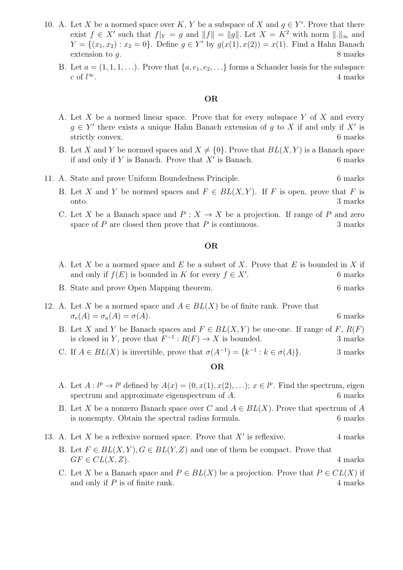- 10. A. Let X be a normed space over K, Y be a subspace of X and  $g \in Y'$ . Prove that there exist  $f \in X'$  such that  $f|_Y = g$  and  $||f|| = ||g||$ . Let  $X = K^2$  with norm  $||.||_{\infty}$  and  $Y = \{(x_1, x_2) : x_2 = 0\}$ . Define  $g \in Y'$  by  $g(x(1), x(2)) = x(1)$ . Find a Hahn Banach extension to g. 8 marks
	- B. Let  $a = (1, 1, 1, \ldots)$ . Prove that  $\{a, e_1, e_2, \ldots\}$  forms a Schauder basis for the subspace c of  $l^{\infty}$ .  $\infty$ . 4 marks

#### OR

- A. Let X be a normed linear space. Prove that for every subspace Y of X and every  $g \in Y'$  there exists a unique Hahn Banach extension of g to X if and only if X' is strictly convex. 6 marks
- B. Let X and Y be normed spaces and  $X \neq \{0\}$ . Prove that  $BL(X, Y)$  is a Banach space if and only if  $Y$  is Banach. Prove that  $X'$  is Banach. 6 marks

### 11. A. State and prove Uniform Boundedness Principle. 6 marks

- B. Let X and Y be normed spaces and  $F \in BL(X, Y)$ . If F is open, prove that F is onto. 3 marks
- C. Let X be a Banach space and  $P: X \to X$  be a projection. If range of P and zero space of  $P$  are closed then prove that  $P$  is continuous.  $3$  marks

#### OR

- A. Let X be a normed space and E be a subset of X. Prove that E is bounded in X if and only if  $f(E)$  is bounded in K for every  $f \in X'$ . . 6 marks
- B. State and prove Open Mapping theorem. 6 marks
- 12. A. Let X be a normed space and  $A \in BL(X)$  be of finite rank. Prove that  $\sigma_e(A) = \sigma_a(A) = \sigma(A).$  6 marks
	- B. Let X and Y be Banach spaces and  $F \in BL(X, Y)$  be one-one. If range of F,  $R(F)$ is closed in Y, prove that  $F^{-1}: R(F) \to X$  is bounded. 3 marks
	- C. If  $A \in BL(X)$  is invertible, prove that  $\sigma(A^{-1}) = \{k^{-1} : k \in \sigma(A)\}\.$  3 marks

## OR

- A. Let  $A: l^p \to l^p$  defined by  $A(x) = (0, x(1), x(2), ...)$ ;  $x \in l^p$ . Find the spectrum, eigen spectrum and approximate eigenspectrum of A. 6 marks
- B. Let X be a nonzero Banach space over C and  $A \in BL(X)$ . Prove that spectrum of A is nonempty. Obtain the spectral radius formula. 6 marks
- 13. A. Let X be a reflexive normed space. Prove that  $X'$  is reflexive. 4 marks
	- B. Let  $F \in BL(X, Y), G \in BL(Y, Z)$  and one of them be compact. Prove that  $GF \in CL(X, Z)$ . 4 marks
	- C. Let X be a Banach space and  $P \in BL(X)$  be a projection. Prove that  $P \in CL(X)$  if and only if  $P$  is of finite rank.  $4$  marks